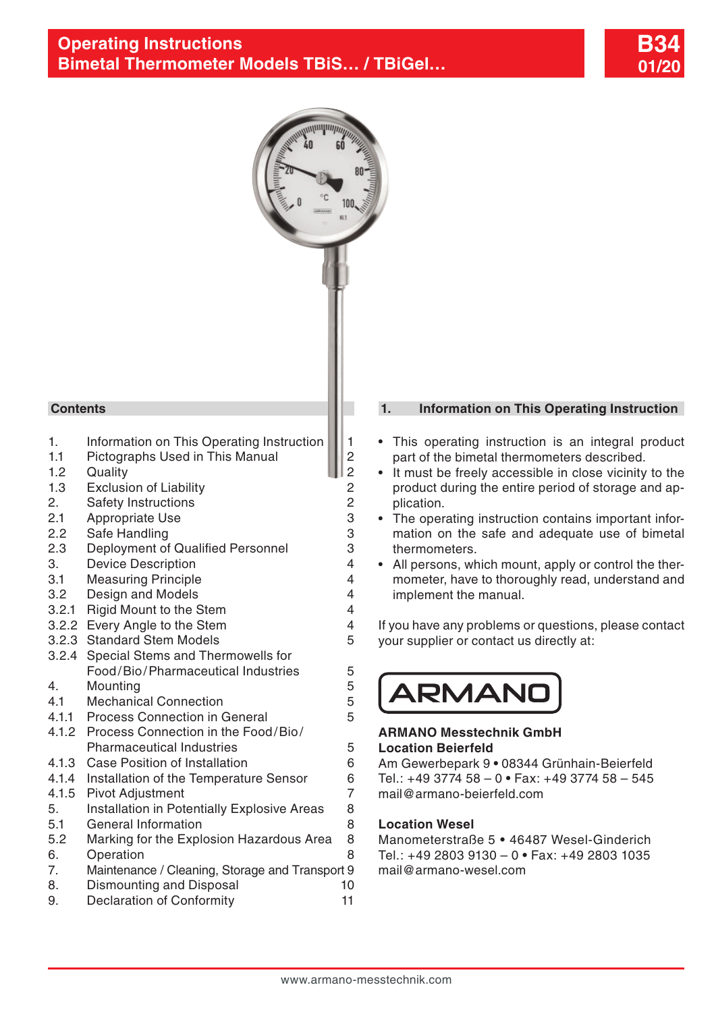



### **Contents**

- 1. Information on This Operating Instruction 1.1 Pictographs Used in This Manual
- 1.1 [Pictographs Used in This Manual](#page-1-0) 2<br>1.2 Quality
- 
- 1.2 [Quality](#page-1-0)<br>1.3 Exclusion of Liability 2 1.3 [Exclusion of Liability](#page-1-0) 2<br>2. Safety Instructions 2
- [2. Safety Instructions](#page-1-0) 2<br>2.1 Appropriate Use 3
- 2.1 [Appropriate Use](#page-1-0)
- 
- 2.2 [Safe Handling](#page-2-0)<br>2.3 Deployment of Qualified Personnel 3 2.3 [Deployment of Qualified Personnel](#page-2-0)
- 3. [Device Description](#page-3-0) 4<br>3.1 Measuring Principle 4
- 3.1 [Measuring Principle](#page-3-0) 4<br>3.2 Design and Models 4
- 3.2 [Design and Models](#page-3-0) 4
- 3.2.1 [Rigid Mount to the Stem](#page-3-0) 4
- 3.2.2 [Every Angle to the Stem](#page-3-0) 4
- 3.2.3 [Standard Stem Models](#page-4-0) 5
- [3.2.4 Special Stems and Thermowells for](#page-4-0)  [Food/Bio/Pharmaceutical Industries](#page-4-0) 5
- 
- 4. [Mounting](#page-4-0) 5<br>4.1 Mechanical Connection 6 4.1 [Mechanical Connection](#page-4-0) 5<br>4.1.1 Process Connection in General 5
- 4.1.1 [Process Connection in General](#page-4-0)
- [4.1.2 Process Connection in the Food/Bio/](#page-4-0) [Pharmaceutical Industries](#page-4-0) 65
- 4.1.3 [Case Position of Installation](#page-5-0) 6
- 4.1.4 [Installation of the Temperature Sensor](#page-5-0) 6<br>4.1.5 Pivot Adiustment 7
- 
- 4.1.5 [Pivot Adjustment](#page-6-0)<br>5. Installation in Potentially Explosive Areas 8 5. [Installation in Potentially Explosive Areas](#page-7-0)
- 5.1 [General Information](#page-7-0) 8
- 5.2 [Marking for the Explosion Hazardous Area](#page-7-0) 8 6. [Operation](#page-7-0) 8
- [7. Maintenance / Cleaning, Storage and Transport](#page-8-0) 9
- 8. [Dismounting and Disposal](#page-9-0) 10
- 9. [Declaration of Conformity](#page-10-0) 11

### **1. Information on This Operating Instruction**

- This operating instruction is an integral product part of the bimetal thermometers described.
- It must be freely accessible in close vicinity to the product during the entire period of storage and application.
- The operating instruction contains important information on the safe and adequate use of bimetal thermometers.
- All persons, which mount, apply or control the thermometer, have to thoroughly read, understand and implement the manual.

If you have any problems or questions, please contact your supplier or contact us directly at:

**ARMAND** 

### **ARMANO Messtechnik GmbH Location Beierfeld**

Am Gewerbepark 9 **•** 08344 Grünhain-Beierfeld Tel.: +49 3774 58 – 0 **•** Fax: +49 3774 58 – 545 mail@armano-beierfeld.com

### **Location Wesel**

Manometerstraße 5 **•** 46487 Wesel-Ginderich Tel.: +49 2803 9130 – 0 **•** Fax: +49 2803 1035 mail@armano-wesel.com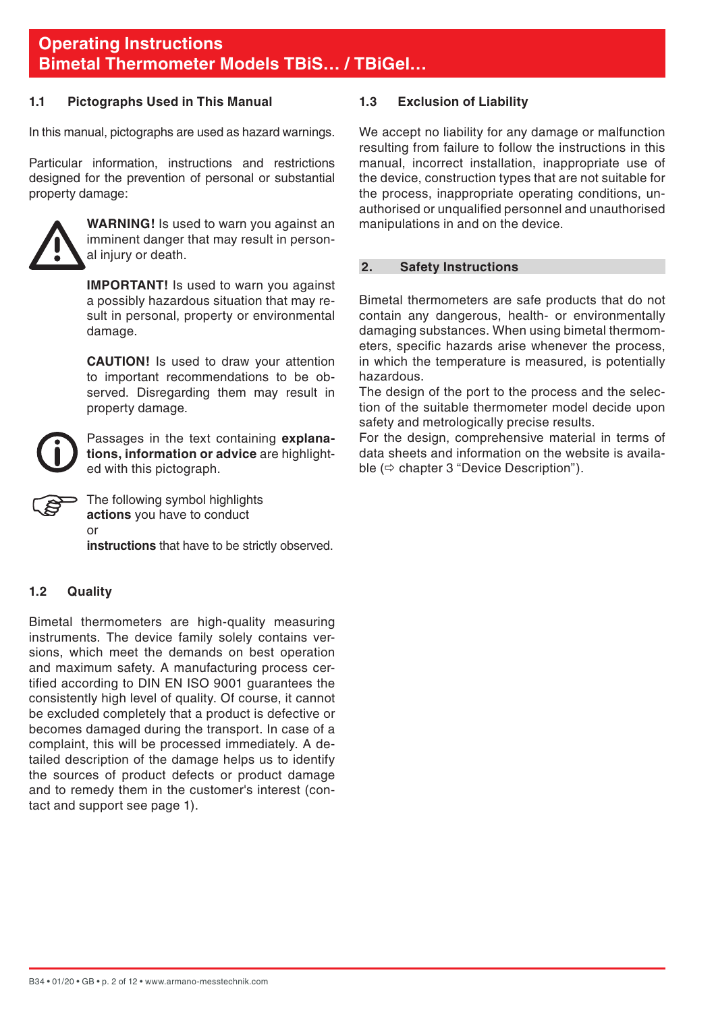### <span id="page-1-0"></span>**1.1 Pictographs Used in This Manual**

In this manual, pictographs are used as hazard warnings.

Particular information, instructions and restrictions designed for the prevention of personal or substantial property damage:



**WARNING!** Is used to warn you against an imminent danger that may result in personal injury or death.

**IMPORTANT!** Is used to warn you against a possibly hazardous situation that may result in personal, property or environmental damage.

 **CAUTION!** Is used to draw your attention to important recommendations to be observed. Disregarding them may result in property damage.

Passages in the text containing **explanations, information or advice** are highlighted with this pictograph.

The following symbol highlights **actions** you have to conduct or

**instructions** that have to be strictly observed.

### **1.2 Quality**

Bimetal thermometers are high-quality measuring instruments. The device family solely contains versions, which meet the demands on best operation and maximum safety. A manufacturing process certified according to DIN EN ISO 9001 guarantees the consistently high level of quality. Of course, it cannot be excluded completely that a product is defective or becomes damaged during the transport. In case of a complaint, this will be processed immediately. A detailed description of the damage helps us to identify the sources of product defects or product damage and to remedy them in the customer's interest (contact and support see page 1).

### **1.3 Exclusion of Liability**

We accept no liability for any damage or malfunction resulting from failure to follow the instructions in this manual, incorrect installation, inappropriate use of the device, construction types that are not suitable for the process, inappropriate operating conditions, unauthorised or unqualified personnel and unauthorised manipulations in and on the device.

### **2. Safety Instructions**

Bimetal thermometers are safe products that do not contain any dangerous, health- or environmentally damaging substances. When using bimetal thermometers, specific hazards arise whenever the process, in which the temperature is measured, is potentially hazardous.

The design of the port to the process and the selection of the suitable thermometer model decide upon safety and metrologically precise results.

For the design, comprehensive material in terms of data sheets and information on the website is available  $(\Rightarrow$  chapter 3 "Device Description").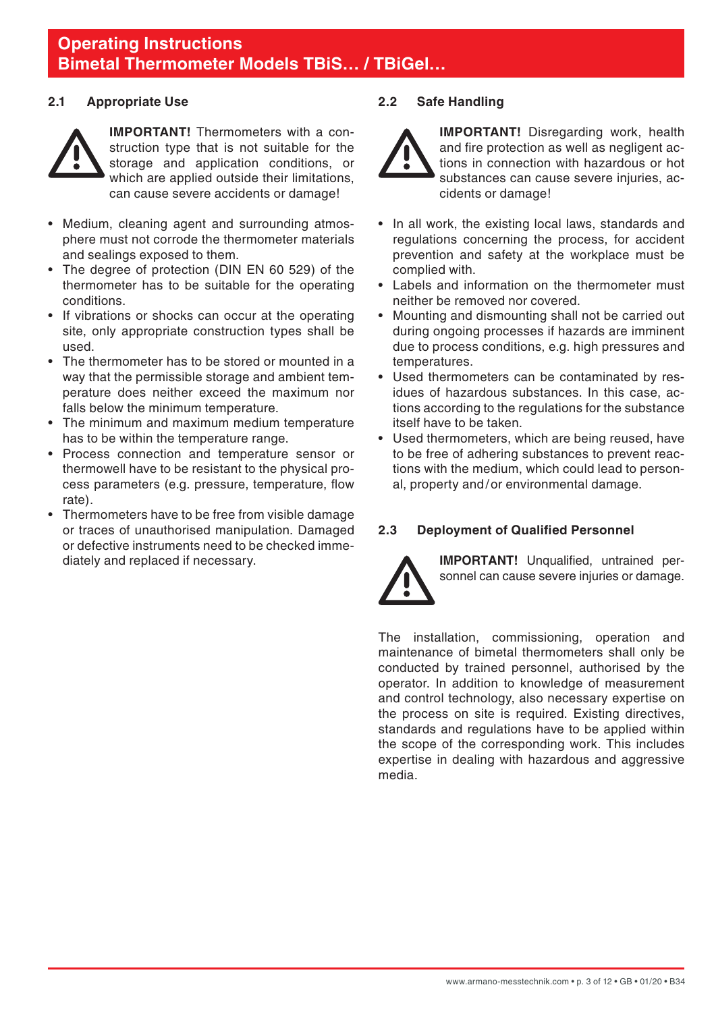### <span id="page-2-0"></span>**2.1 Appropriate Use**



 **IMPORTANT!** Thermometers with a construction type that is not suitable for the storage and application conditions, or which are applied outside their limitations. can cause severe accidents or damage!

- Medium, cleaning agent and surrounding atmosphere must not corrode the thermometer materials and sealings exposed to them.
- The degree of protection (DIN EN 60 529) of the thermometer has to be suitable for the operating conditions.
- If vibrations or shocks can occur at the operating site, only appropriate construction types shall be used.
- The thermometer has to be stored or mounted in a way that the permissible storage and ambient temperature does neither exceed the maximum nor falls below the minimum temperature.
- The minimum and maximum medium temperature has to be within the temperature range.
- Process connection and temperature sensor or thermowell have to be resistant to the physical process parameters (e.g. pressure, temperature, flow rate).
- Thermometers have to be free from visible damage or traces of unauthorised manipulation. Damaged or defective instruments need to be checked immediately and replaced if necessary.

### **2.2 Safe Handling**



**IMPORTANT!** Disregarding work, health and fire protection as well as negligent actions in connection with hazardous or hot substances can cause severe injuries, accidents or damage!

- In all work, the existing local laws, standards and regulations concerning the process, for accident prevention and safety at the workplace must be complied with.
- Labels and information on the thermometer must neither be removed nor covered.
- Mounting and dismounting shall not be carried out during ongoing processes if hazards are imminent due to process conditions, e.g. high pressures and temperatures.
- Used thermometers can be contaminated by residues of hazardous substances. In this case, actions according to the regulations for the substance itself have to be taken.
- Used thermometers, which are being reused, have to be free of adhering substances to prevent reactions with the medium, which could lead to personal, property and/or environmental damage.

### **2.3 Deployment of Qualified Personnel**



**IMPORTANT!** Unqualified, untrained personnel can cause severe injuries or damage.

The installation, commissioning, operation and maintenance of bimetal thermometers shall only be conducted by trained personnel, authorised by the operator. In addition to knowledge of measurement and control technology, also necessary expertise on the process on site is required. Existing directives, standards and regulations have to be applied within the scope of the corresponding work. This includes expertise in dealing with hazardous and aggressive media.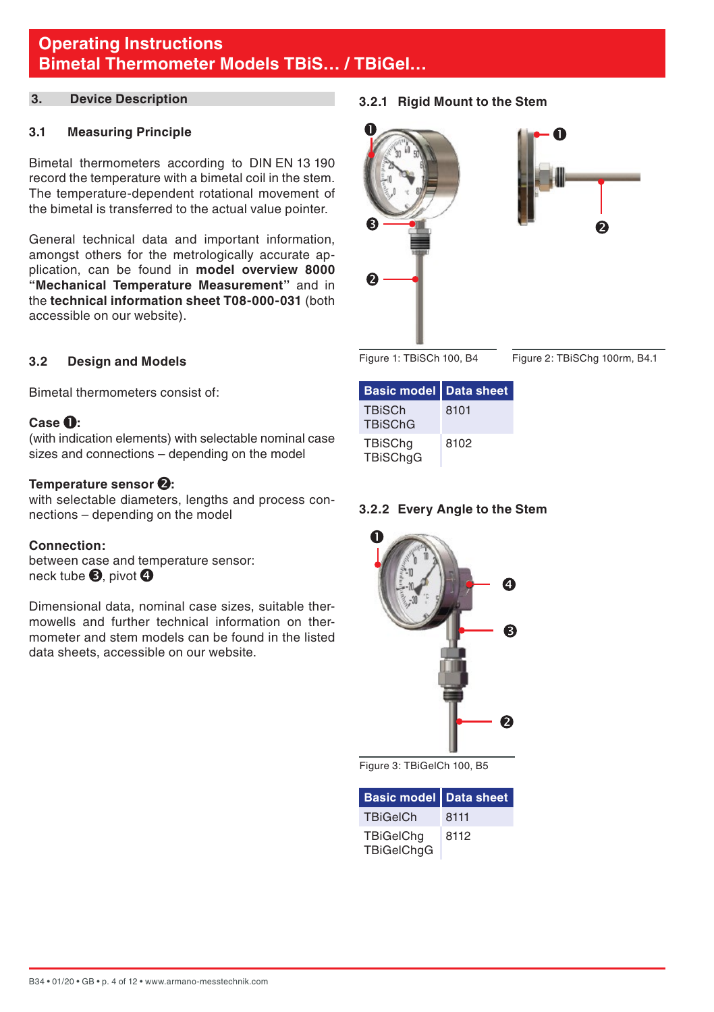### <span id="page-3-0"></span>**3. Device Description**

### **3.1 Measuring Principle**

Bimetal thermometers according to DIN EN 13 190 record the temperature with a bimetal coil in the stem. The temperature-dependent rotational movement of the bimetal is transferred to the actual value pointer.

General technical data and important information, amongst others for the metrologically accurate application, can be found in **model overview 8000 "Mechanical Temperature Measurement"** and in the **technical information sheet T08-000-031** (both accessible on our website).

### **3.2 Design and Models**

Bimetal thermometers consist of:

### **Case :**

(with indication elements) with selectable nominal case sizes and connections – depending on the model

### Temperature sensor **2**:

with selectable diameters, lengths and process connections – depending on the model

### **Connection:**

between case and temperature sensor: neck tube  $\mathbf{\Theta}$ , pivot  $\mathbf{\Theta}$ 

Dimensional data, nominal case sizes, suitable thermowells and further technical information on thermometer and stem models can be found in the listed data sheets, accessible on our website.

**3.2.1 Rigid Mount to the Stem**





Figure 1: TBiSCh 100, B4

Figure 2: TBiSChg 100rm, B4.1

| Basic model   Data sheet          |      |
|-----------------------------------|------|
| <b>TBiSCh</b><br><b>TBiSChG</b>   | 8101 |
| <b>TBiSChq</b><br><b>TBiSChgG</b> | 8102 |

### **3.2.2 Every Angle to the Stem**



Figure 3: TBiGelCh 100, B5

| Basic model   Data sheet              |      |
|---------------------------------------|------|
| <b>TBiGeICh</b>                       | 8111 |
| <b>TBiGelChg</b><br><b>TBiGelChgG</b> | 8112 |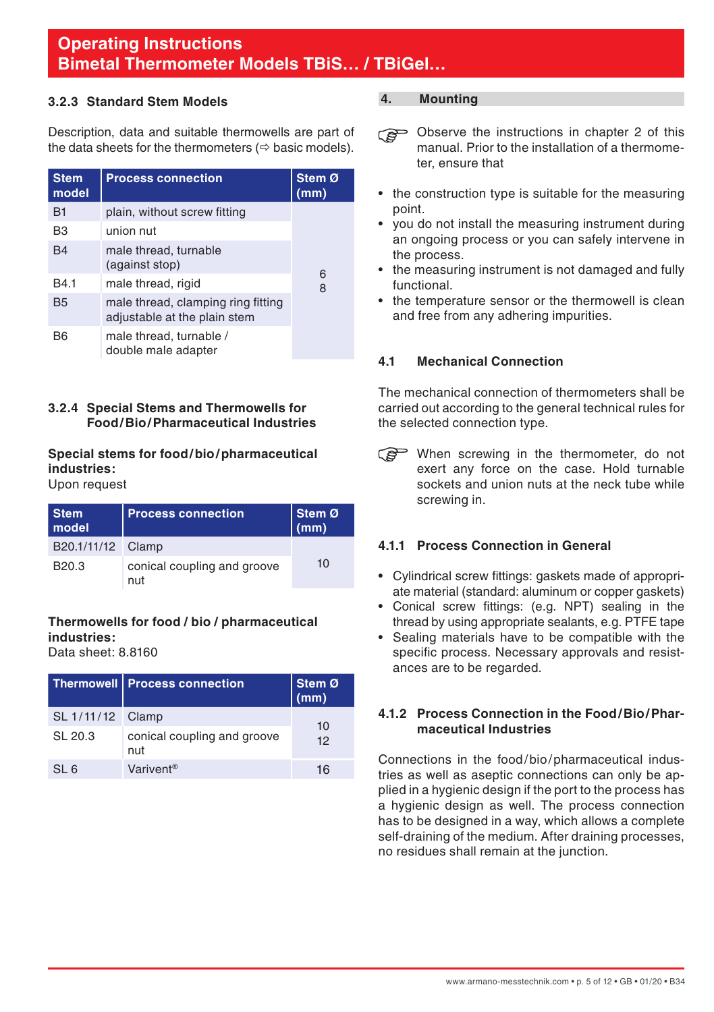### <span id="page-4-0"></span>**3.2.3 Standard Stem Models**

Description, data and suitable thermowells are part of the data sheets for the thermometers  $(\Rightarrow$  basic models).

| <b>Stem</b><br>model | <b>Process connection</b>                                          | Stem Ø<br>(mm) |
|----------------------|--------------------------------------------------------------------|----------------|
| <b>B1</b>            | plain, without screw fitting                                       |                |
| B <sub>3</sub>       | union nut                                                          |                |
| <b>B4</b>            | male thread, turnable<br>(against stop)                            | 6              |
| B4.1                 | male thread, rigid                                                 | 8              |
| <b>B5</b>            | male thread, clamping ring fitting<br>adjustable at the plain stem |                |
| <b>B6</b>            | male thread, turnable /<br>double male adapter                     |                |

### **3.2.4 Special Stems and Thermowells for Food/Bio/Pharmaceutical Industries**

### **Special stems for food/bio/pharmaceutical industries:**

### Upon request

| <b>Stem</b><br>model | <b>Process connection</b>          | Stem Ø<br>(mm) |
|----------------------|------------------------------------|----------------|
| B20.1/11/12 Clamp    |                                    |                |
| B <sub>20.3</sub>    | conical coupling and groove<br>nut | 10             |

### **Thermowells for food / bio / pharmaceutical industries:**

Data sheet: 8.8160

|                  | Thermowell   Process connection    | Stem Ø<br>(mm) |  |
|------------------|------------------------------------|----------------|--|
| SL 1/11/12 Clamp |                                    | 10             |  |
| SL 20.3          | conical coupling and groove<br>nut | 12             |  |
| SL <sub>6</sub>  | Varivent <sup>®</sup>              | 16             |  |

### **4. Mounting**

- Observe the instructions in chapter 2 of this manual. Prior to the installation of a thermometer, ensure that
- the construction type is suitable for the measuring point.
- vou do not install the measuring instrument during an ongoing process or you can safely intervene in the process.
- the measuring instrument is not damaged and fully functional.
- the temperature sensor or the thermowell is clean and free from any adhering impurities.

### **4.1 Mechanical Connection**

The mechanical connection of thermometers shall be carried out according to the general technical rules for the selected connection type.

When screwing in the thermometer, do not exert any force on the case. Hold turnable sockets and union nuts at the neck tube while screwing in.

### **4.1.1 Process Connection in General**

- Cylindrical screw fittings: gaskets made of appropriate material (standard: aluminum or copper gaskets)
- Conical screw fittings: (e.g. NPT) sealing in the thread by using appropriate sealants, e.g. PTFE tape
- Sealing materials have to be compatible with the specific process. Necessary approvals and resistances are to be regarded.

### **4.1.2 Process Connection in the Food/Bio/Pharmaceutical Industries**

Connections in the food/bio/pharmaceutical industries as well as aseptic connections can only be applied in a hygienic design if the port to the process has a hygienic design as well. The process connection has to be designed in a way, which allows a complete self-draining of the medium. After draining processes, no residues shall remain at the junction.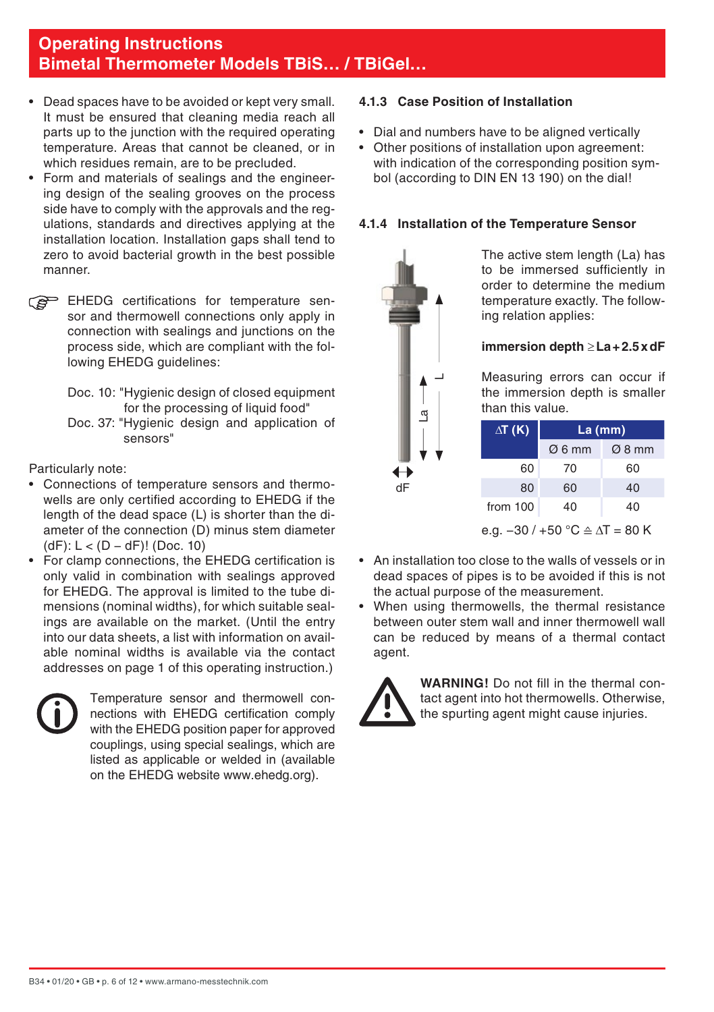- <span id="page-5-0"></span>• Dead spaces have to be avoided or kept very small. It must be ensured that cleaning media reach all parts up to the junction with the required operating temperature. Areas that cannot be cleaned, or in which residues remain, are to be precluded.
- Form and materials of sealings and the engineering design of the sealing grooves on the process side have to comply with the approvals and the regulations, standards and directives applying at the installation location. Installation gaps shall tend to zero to avoid bacterial growth in the best possible manner.
- EHEDG certifications for temperature sensor and thermowell connections only apply in connection with sealings and junctions on the process side, which are compliant with the following EHEDG guidelines:
	- Doc. 10: "Hygienic design of closed equipment for the processing of liquid food"
	- Doc. 37: "Hygienic design and application of sensors"

Particularly note:

- Connections of temperature sensors and thermowells are only certified according to EHEDG if the length of the dead space (L) is shorter than the diameter of the connection (D) minus stem diameter (dF): L < (D − dF)! (Doc. 10)
- For clamp connections, the EHEDG certification is only valid in combination with sealings approved for EHEDG. The approval is limited to the tube dimensions (nominal widths), for which suitable sealings are available on the market. (Until the entry into our data sheets, a list with information on available nominal widths is available via the contact addresses on page 1 of this operating instruction.)



 Temperature sensor and thermowell connections with EHEDG certification comply with the EHEDG position paper for approved couplings, using special sealings, which are listed as applicable or welded in (available on the EHEDG website www.ehedg.org).

### **4.1.3 Case Position of Installation**

- Dial and numbers have to be aligned vertically
- Other positions of installation upon agreement: with indication of the corresponding position symbol (according to DIN EN 13 190) on the dial!

### **4.1.4 Installation of the Temperature Sensor**



 The active stem length (La) has to be immersed sufficiently in order to determine the medium temperature exactly. The following relation applies:

### **immersion depth** ≥**La+2.5xdF**

 Measuring errors can occur if the immersion depth is smaller than this value.

| La (mm)            |                    |
|--------------------|--------------------|
| $\varnothing$ 6 mm | $\varnothing$ 8 mm |
| 70                 | 60                 |
| 60                 | 40                 |
| 40                 | 40                 |
|                    |                    |

e.g. −30 / +50 °C ≙ **∆**T = 80 K

- An installation too close to the walls of vessels or in dead spaces of pipes is to be avoided if this is not the actual purpose of the measurement.
- When using thermowells, the thermal resistance between outer stem wall and inner thermowell wall can be reduced by means of a thermal contact agent.



**WARNING!** Do not fill in the thermal contact agent into hot thermowells. Otherwise, the spurting agent might cause injuries.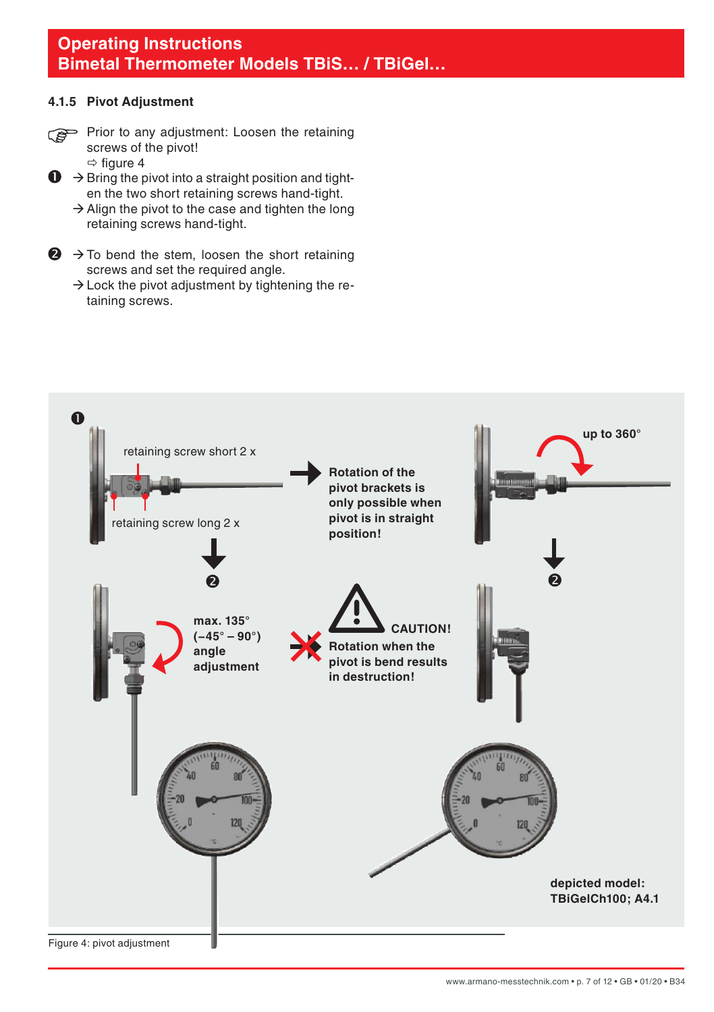### <span id="page-6-0"></span>**4.1.5 Pivot Adjustment**

- Prior to any adjustment: Loosen the retaining screws of the pivot!
	- $\Rightarrow$  figure 4
- $\mathbf{D} \rightarrow$  Bring the pivot into a straight position and tighten the two short retaining screws hand-tight.
	- $\rightarrow$  Align the pivot to the case and tighten the long retaining screws hand-tight.
- $\bigodot$   $\rightarrow$  To bend the stem, loosen the short retaining screws and set the required angle.
	- $\rightarrow$  Lock the pivot adjustment by tightening the retaining screws.

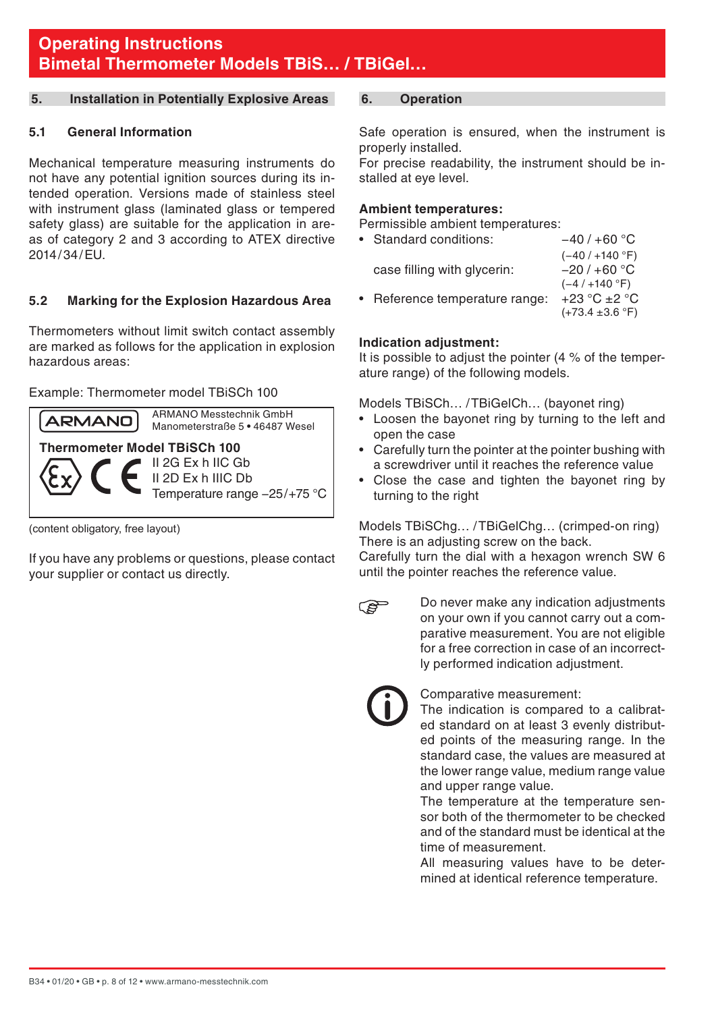### <span id="page-7-0"></span>**5. Installation in Potentially Explosive Areas**

### **5.1 General Information**

Mechanical temperature measuring instruments do not have any potential ignition sources during its intended operation. Versions made of stainless steel with instrument glass (laminated glass or tempered safety glass) are suitable for the application in areas of category 2 and 3 according to ATEX directive 2014/34/EU.

### **5.2 Marking for the Explosion Hazardous Area**

Thermometers without limit switch contact assembly are marked as follows for the application in explosion hazardous areas:

### Example: Thermometer model TBiSCh 100



(content obligatory, free layout)

If you have any problems or questions, please contact your supplier or contact us directly.

### **6. Operation**

Safe operation is ensured, when the instrument is properly installed.

For precise readability, the instrument should be installed at eye level.

### **Ambient temperatures:**

Permissible ambient temperatures:

| • Standard conditions:       | $-40/+60 °C$                |
|------------------------------|-----------------------------|
|                              | $(-40/ + 140 °F)$           |
| case filling with glycerin:  | $-20/+60 °C$                |
|                              | $(-4/ + 140 °F)$            |
| Reference temperature range: | $+23 °C + 2 °C$             |
|                              | $(+73.4 \pm 3.6 \degree F)$ |
|                              |                             |

### **Indication adjustment:**

It is possible to adjust the pointer (4 % of the temperature range) of the following models.

Models TBiSCh… /TBiGelCh… (bayonet ring)

- Loosen the bayonet ring by turning to the left and open the case
- Carefully turn the pointer at the pointer bushing with a screwdriver until it reaches the reference value
- Close the case and tighten the bayonet ring by turning to the right

Models TBiSChg… /TBiGelChg… (crimped-on ring) There is an adjusting screw on the back.

Carefully turn the dial with a hexagon wrench SW 6 until the pointer reaches the reference value.

 Do never make any indication adjustments **PED** on your own if you cannot carry out a comparative measurement. You are not eligible for a free correction in case of an incorrectly performed indication adjustment.

### Comparative measurement:

 The indication is compared to a calibrated standard on at least 3 evenly distributed points of the measuring range. In the standard case, the values are measured at the lower range value, medium range value and upper range value.

 The temperature at the temperature sensor both of the thermometer to be checked and of the standard must be identical at the time of measurement.

 All measuring values have to be determined at identical reference temperature.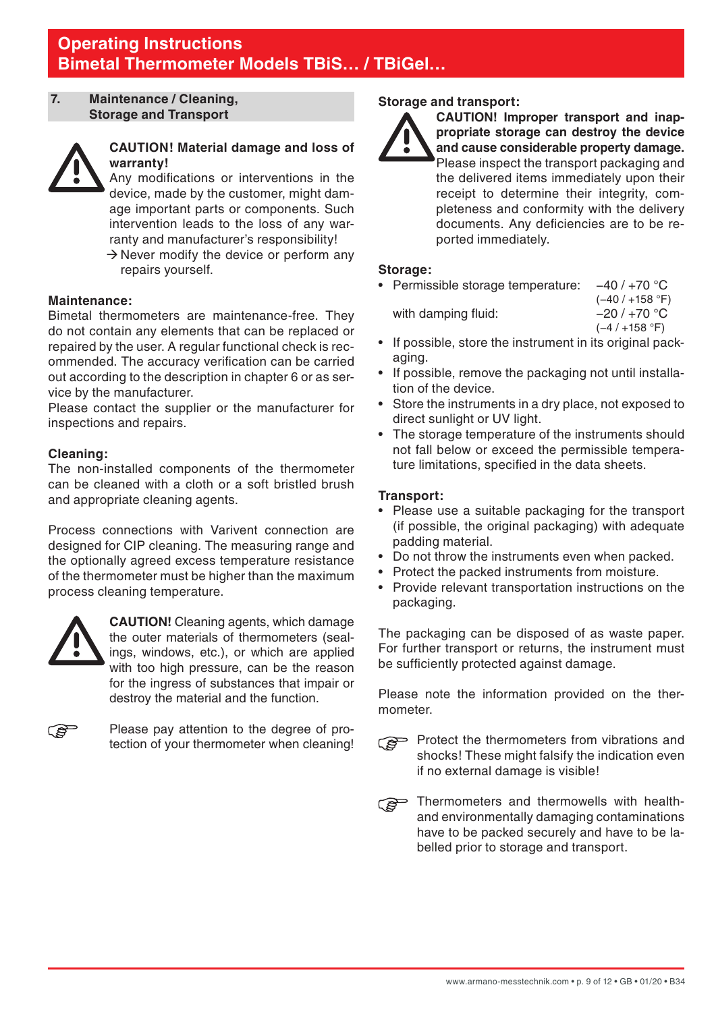### <span id="page-8-0"></span>**7. Maintenance / Cleaning, Storage and Transport**



### **CAUTION! Material damage and loss of warranty!**

 Any modifications or interventions in the device, made by the customer, might damage important parts or components. Such intervention leads to the loss of any warranty and manufacturer's responsibility!

 $\rightarrow$  Never modify the device or perform any repairs yourself.

### **Maintenance:**

Bimetal thermometers are maintenance-free. They do not contain any elements that can be replaced or repaired by the user. A regular functional check is recommended. The accuracy verification can be carried out according to the description in chapter 6 or as service by the manufacturer.

Please contact the supplier or the manufacturer for inspections and repairs.

### **Cleaning:**

The non-installed components of the thermometer can be cleaned with a cloth or a soft bristled brush and appropriate cleaning agents.

Process connections with Varivent connection are designed for CIP cleaning. The measuring range and the optionally agreed excess temperature resistance of the thermometer must be higher than the maximum process cleaning temperature.



 **CAUTION!** Cleaning agents, which damage the outer materials of thermometers (sealings, windows, etc.), or which are applied with too high pressure, can be the reason for the ingress of substances that impair or destroy the material and the function.



 Please pay attention to the degree of protection of your thermometer when cleaning!

### **Storage and transport:**



**CAUTION! Improper transport and inappropriate storage can destroy the device and cause considerable property damage.** Please inspect the transport packaging and the delivered items immediately upon their receipt to determine their integrity, completeness and conformity with the delivery documents. Any deficiencies are to be reported immediately.

### **Storage:**

• Permissible storage temperature: −40 / +70 °C (−40 / +158 °F) with damping fluid:  $-20/770 °C$ 

- (−4 / +158 °F)
- If possible, store the instrument in its original packaging.
- If possible, remove the packaging not until installation of the device.
- Store the instruments in a dry place, not exposed to direct sunlight or UV light.
- The storage temperature of the instruments should not fall below or exceed the permissible temperature limitations, specified in the data sheets.

### **Transport:**

- Please use a suitable packaging for the transport (if possible, the original packaging) with adequate padding material.
- Do not throw the instruments even when packed.
- Protect the packed instruments from moisture.
- Provide relevant transportation instructions on the packaging.

The packaging can be disposed of as waste paper. For further transport or returns, the instrument must be sufficiently protected against damage.

Please note the information provided on the thermometer.

- **Protect the thermometers from vibrations and** shocks! These might falsify the indication even if no external damage is visible!
- Thermometers and thermowells with healthand environmentally damaging contaminations have to be packed securely and have to be labelled prior to storage and transport.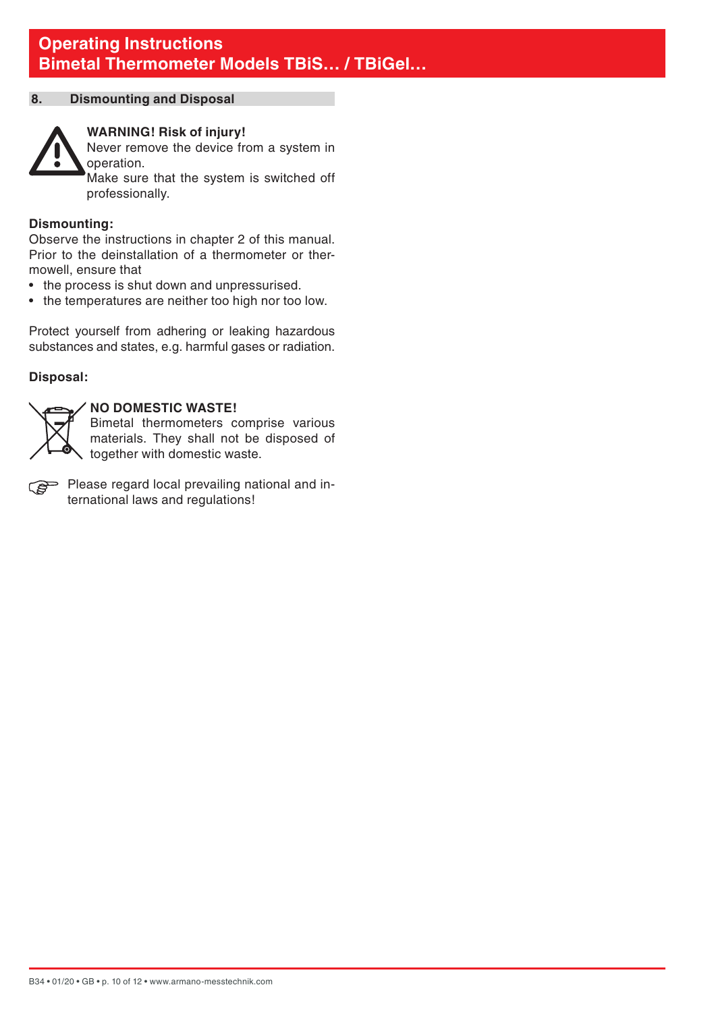### <span id="page-9-0"></span>**8. Dismounting and Disposal**



### **WARNING! Risk of injury!**

Never remove the device from a system in operation.

 Make sure that the system is switched off professionally.

### **Dismounting:**

Observe the instructions in chapter 2 of this manual. Prior to the deinstallation of a thermometer or thermowell, ensure that

- the process is shut down and unpressurised.
- the temperatures are neither too high nor too low.

Protect yourself from adhering or leaking hazardous substances and states, e.g. harmful gases or radiation.

### **Disposal:**



### **NO DOMESTIC WASTE!**

 Bimetal thermometers comprise various materials. They shall not be disposed of together with domestic waste.

**Please regard local prevailing national and in**ternational laws and regulations!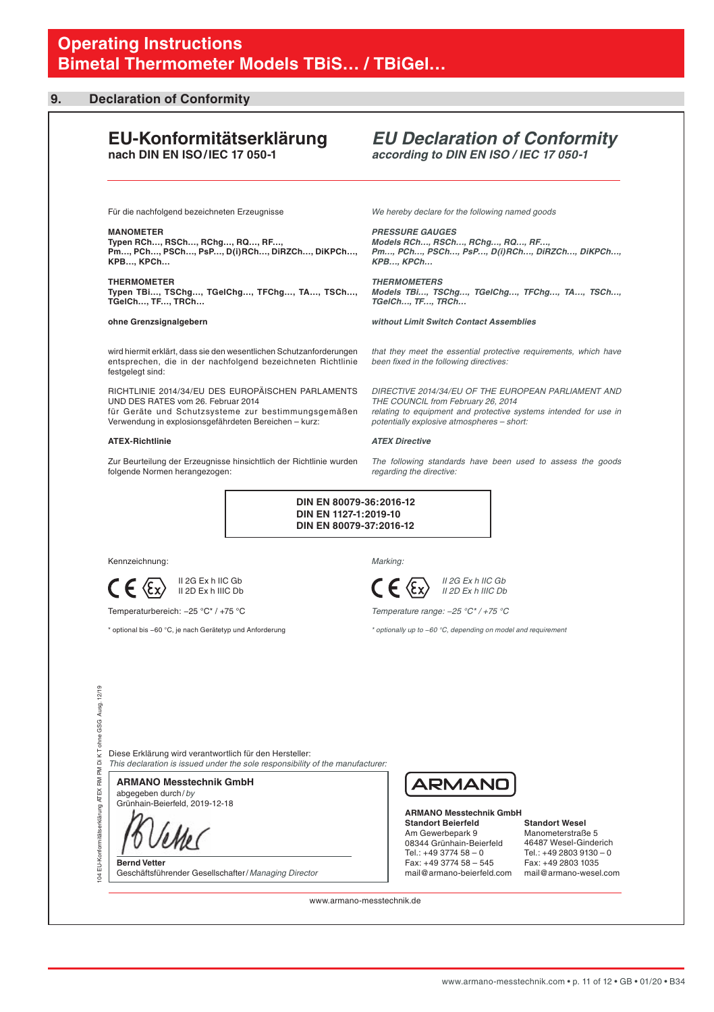#### <span id="page-10-0"></span>**9. Declaration of Conformity**

#### **EU-Konformitätserklärung nach DIN EN ISO/IEC 17 050-1**

### *EU Declaration of Conformity according to DIN EN ISO / IEC 17 050-1*

Für die nachfolgend bezeichneten Erzeugnisse

**MANOMETER**

**Typen RCh…, RSCh…, RChg…, RQ…, RF…, Pm…, PCh…, PSCh…, PsP…, D(i)RCh…, DiRZCh…, DiKPCh…, KPB…, KPCh…** 

**THERMOMETER Typen TBi…, TSChg…, TGelChg…, TFChg…, TA…, TSCh…, TGelCh…, TF…, TRCh…**

#### **ohne Grenzsignalgebern**

wird hiermit erklärt, dass sie den wesentlichen Schutzanforderungen entsprechen, die in der nachfolgend bezeichneten Richtlinie festgelegt sind:

RICHTLINIE 2014/34/EU DES EUROPÄISCHEN PARLAMENTS UND DES RATES vom 26. Februar 2014 für Geräte und Schutzsysteme zur bestimmungsgemäßen

Verwendung in explosionsgefährdeten Bereichen – kurz:

#### **ATEX-Richtlinie**

Zur Beurteilung der Erzeugnisse hinsichtlich der Richtlinie wurden folgende Normen herangezogen:

*We hereby declare for the following named goods*

*PRESSURE GAUGES Models RCh…, RSCh…, RChg…, RQ…, RF…, Pm…, PCh…, PSCh…, PsP…, D(i)RCh…, DiRZCh…, DiKPCh…, KPB…, KPCh…* 

*THERMOMETERS Models TBi…, TSChg…, TGelChg…, TFChg…, TA…, TSCh…, TGelCh…, TF…, TRCh…* 

*without Limit Switch Contact Assemblies*

*that they meet the essential protective requirements, which have been fixed in the following directives:*

*DIRECTIVE 2014/34/EU OF THE EUROPEAN PARLIAMENT AND THE COUNCIL from February 26, 2014 relating to equipment and protective systems intended for use in potentially explosive atmospheres – short:*

#### *ATEX Directive*

*The following standards have been used to assess the goods regarding the directive:*

 **DIN EN 80079-36:2016-12 DIN EN 1127-1:2019-10 DIN EN 80079-37:2016-12**

Kennzeichnung:

 II 2G Ex h IIC Gb  $C \in \langle \xi_x \rangle$  II 2G Ex h IIIC Gb

Temperaturbereich: −25 °C\* / +75 °C

\* optional bis −60 °C, je nach Gerätetyp und Anforderung



 *II 2G Ex h IIC Gb*  $\epsilon$   $\epsilon$   $\langle \epsilon_{\rm x} \rangle$  *II 2D Ex h IIIC Db* 

*Temperature range: −25 °C\* / +75 °C*

*\* optionally up to −60 °C, depending on model and requirement*

Diese Erklärung wird verantwortlich für den Hersteller: *This declaration is issued under the sole responsibility of the manufacturer:*

abgegeben durch/*by* **ARMANO Messtechnik GmbH**

Grünhain-Beierfeld, 2019-12-18

l

104 EU-Konformitätserklärung ATEX RM PM Di K T ohne GSG Ausg. 12/19

mitätserklärung ATEX RM PM

Konfo â ă

 $12/19$ Ausg. GSG. j DIKT

> **Bernd Vetter** Geschäftsführender Gesellschafter/*Managing Director*



**ARMANO Messtechnik GmbH Standort Beierfeld** Am Gewerbepark 9 08344 Grünhain-Beierfeld Tel.: +49 3774 58 – 0 Fax: +49 3774 58 – 545 mail@armano-beierfeld.com

**Standort Wesel** Manometerstraße 5 46487 Wesel-Ginderich Tel.: +49 2803 9130 – 0 Fax: +49 2803 1035 mail@armano-wesel.com

www.armano-messtechnik.de